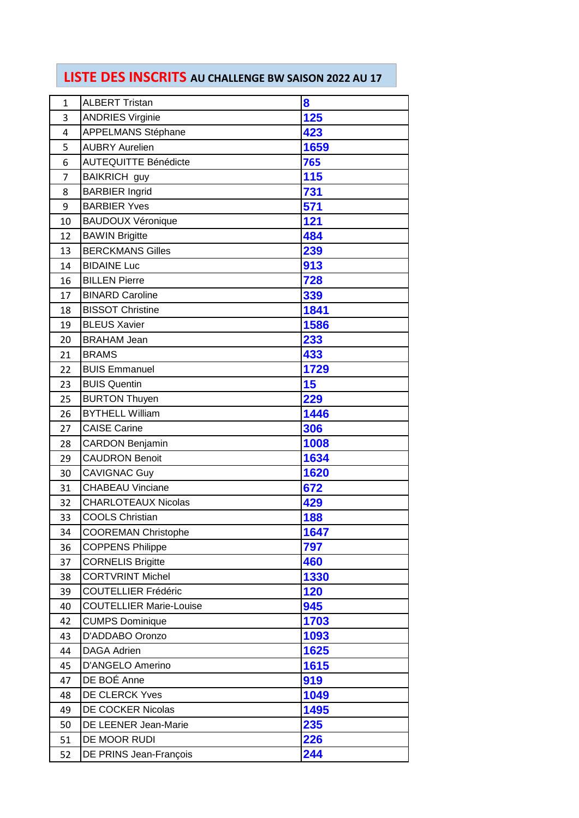## **LISTE DES INSCRITS AU CHALLENGE BW SAISON 2022 AU 17**

| $\mathbf{1}$ | <b>ALBERT Tristan</b>          | 8    |
|--------------|--------------------------------|------|
| 3            | <b>ANDRIES Virginie</b>        | 125  |
| 4            | APPELMANS Stéphane             | 423  |
| 5            | <b>AUBRY Aurelien</b>          | 1659 |
| 6            | <b>AUTEQUITTE Bénédicte</b>    | 765  |
| 7            | <b>BAIKRICH</b> guy            | 115  |
| 8            | <b>BARBIER Ingrid</b>          | 731  |
| 9            | <b>BARBIER Yves</b>            | 571  |
| 10           | <b>BAUDOUX Véronique</b>       | 121  |
| 12           | <b>BAWIN Brigitte</b>          | 484  |
| 13           | <b>BERCKMANS Gilles</b>        | 239  |
| 14           | <b>BIDAINE Luc</b>             | 913  |
| 16           | <b>BILLEN Pierre</b>           | 728  |
| 17           | <b>BINARD Caroline</b>         | 339  |
| 18           | <b>BISSOT Christine</b>        | 1841 |
| 19           | <b>BLEUS Xavier</b>            | 1586 |
| 20           | <b>BRAHAM Jean</b>             | 233  |
| 21           | <b>BRAMS</b>                   | 433  |
| 22           | <b>BUIS Emmanuel</b>           | 1729 |
| 23           | <b>BUIS Quentin</b>            | 15   |
| 25           | <b>BURTON Thuyen</b>           | 229  |
| 26           | <b>BYTHELL William</b>         | 1446 |
| 27           | <b>CAISE Carine</b>            | 306  |
| 28           | <b>CARDON Benjamin</b>         | 1008 |
| 29           | <b>CAUDRON Benoit</b>          | 1634 |
| 30           | <b>CAVIGNAC Guy</b>            | 1620 |
| 31           | <b>CHABEAU Vinciane</b>        | 672  |
| 32           | <b>CHARLOTEAUX Nicolas</b>     | 429  |
| 33           | <b>COOLS Christian</b>         | 188  |
| 34           | <b>COOREMAN Christophe</b>     | 1647 |
| 36           | <b>COPPENS Philippe</b>        | 797  |
| 37           | <b>CORNELIS Brigitte</b>       | 460  |
| 38           | <b>CORTVRINT Michel</b>        | 1330 |
| 39           | <b>COUTELLIER Frédéric</b>     | 120  |
| 40           | <b>COUTELLIER Marie-Louise</b> | 945  |
| 42           | <b>CUMPS Dominique</b>         | 1703 |
| 43           | D'ADDABO Oronzo                | 1093 |
| 44           | <b>DAGA Adrien</b>             | 1625 |
| 45           | D'ANGELO Amerino               | 1615 |
| 47           | DE BOÉ Anne                    | 919  |
| 48           | <b>DE CLERCK Yves</b>          | 1049 |
| 49           | <b>DE COCKER Nicolas</b>       | 1495 |
| 50           | DE LEENER Jean-Marie           | 235  |
| 51           | DE MOOR RUDI                   | 226  |
| 52           | DE PRINS Jean-François         | 244  |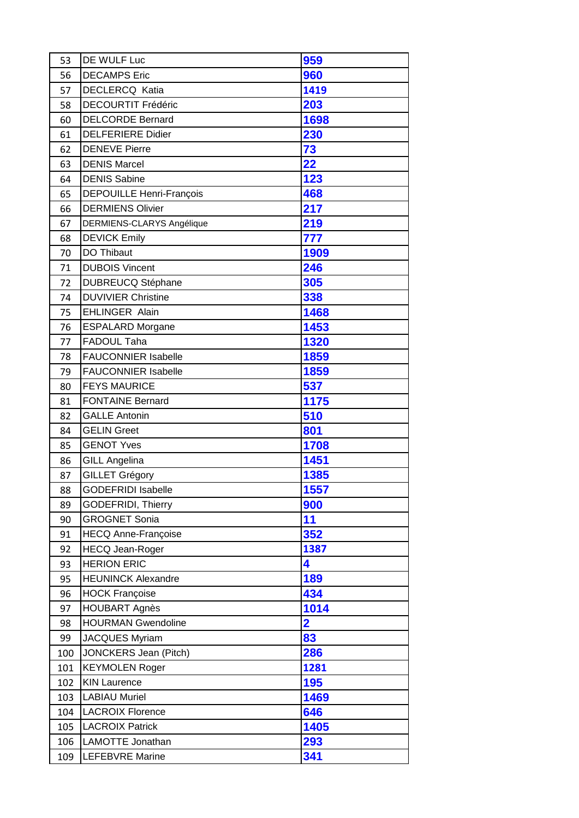| 53  | DE WULF Luc                     | 959                     |
|-----|---------------------------------|-------------------------|
| 56  | <b>DECAMPS Eric</b>             | 960                     |
| 57  | <b>DECLERCQ Katia</b>           | 1419                    |
| 58  | <b>DECOURTIT Frédéric</b>       | 203                     |
| 60  | <b>DELCORDE Bernard</b>         | 1698                    |
| 61  | <b>DELFERIERE Didier</b>        | 230                     |
| 62  | <b>DENEVE Pierre</b>            | 73                      |
| 63  | <b>DENIS Marcel</b>             | 22                      |
| 64  | <b>DENIS Sabine</b>             | 123                     |
| 65  | <b>DEPOUILLE Henri-François</b> | 468                     |
| 66  | <b>DERMIENS Olivier</b>         | 217                     |
| 67  | DERMIENS-CLARYS Angélique       | 219                     |
| 68  | <b>DEVICK Emily</b>             | 777                     |
| 70  | DO Thibaut                      | 1909                    |
| 71  | <b>DUBOIS Vincent</b>           | 246                     |
| 72  | <b>DUBREUCQ Stéphane</b>        | 305                     |
| 74  | <b>DUVIVIER Christine</b>       | 338                     |
| 75  | <b>EHLINGER Alain</b>           | 1468                    |
| 76  | <b>ESPALARD Morgane</b>         | 1453                    |
| 77  | FADOUL Taha                     | 1320                    |
| 78  | <b>FAUCONNIER Isabelle</b>      | 1859                    |
| 79  | <b>FAUCONNIER Isabelle</b>      | 1859                    |
| 80  | <b>FEYS MAURICE</b>             | 537                     |
| 81  | <b>FONTAINE Bernard</b>         | 1175                    |
| 82  | <b>GALLE Antonin</b>            | 510                     |
| 84  | <b>GELIN Greet</b>              | 801                     |
| 85  | <b>GENOT Yves</b>               | 1708                    |
| 86  | <b>GILL Angelina</b>            | 1451                    |
| 87  | <b>GILLET Grégory</b>           | 1385                    |
| 88  | <b>GODEFRIDI Isabelle</b>       | 1557                    |
| 89  | <b>GODEFRIDI, Thierry</b>       | 900                     |
| 90  | <b>GROGNET Sonia</b>            | 11                      |
| 91  | <b>HECQ Anne-Françoise</b>      | 352                     |
| 92  | <b>HECQ Jean-Roger</b>          | 1387                    |
| 93  | <b>HERION ERIC</b>              | 4                       |
| 95  | <b>HEUNINCK Alexandre</b>       | 189                     |
| 96  | <b>HOCK Françoise</b>           | 434                     |
| 97  | <b>HOUBART Agnès</b>            | 1014                    |
| 98  | <b>HOURMAN Gwendoline</b>       | $\overline{\mathbf{2}}$ |
| 99  | <b>JACQUES Myriam</b>           | 83                      |
| 100 | <b>JONCKERS Jean (Pitch)</b>    | 286                     |
| 101 | <b>KEYMOLEN Roger</b>           | 1281                    |
| 102 | <b>KIN Laurence</b>             | 195                     |
| 103 | <b>LABIAU Muriel</b>            | 1469                    |
| 104 | <b>LACROIX Florence</b>         | 646                     |
| 105 | <b>LACROIX Patrick</b>          | 1405                    |
| 106 | LAMOTTE Jonathan                | 293                     |
| 109 | LEFEBVRE Marine                 | 341                     |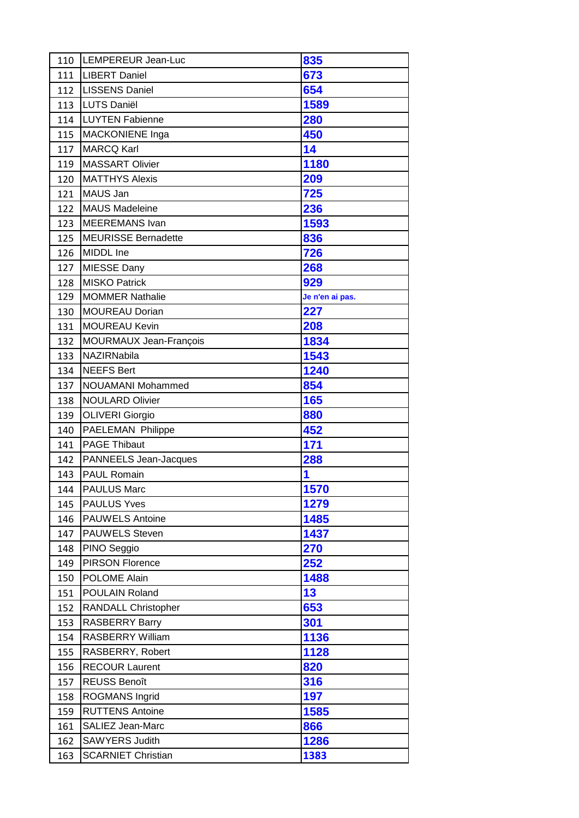| 110 | LEMPEREUR Jean-Luc         | 835             |
|-----|----------------------------|-----------------|
| 111 | <b>LIBERT Daniel</b>       | 673             |
| 112 | <b>LISSENS Daniel</b>      | 654             |
| 113 | <b>LUTS Daniël</b>         | 1589            |
| 114 | <b>LUYTEN Fabienne</b>     | 280             |
| 115 | MACKONIENE Inga            | 450             |
| 117 | <b>MARCQ Karl</b>          | 14              |
| 119 | <b>MASSART Olivier</b>     | 1180            |
| 120 | <b>MATTHYS Alexis</b>      | 209             |
| 121 | MAUS Jan                   | 725             |
| 122 | <b>MAUS Madeleine</b>      | 236             |
| 123 | <b>MEEREMANS Ivan</b>      | 1593            |
| 125 | <b>MEURISSE Bernadette</b> | 836             |
| 126 | MIDDL Ine                  | 726             |
| 127 | <b>MIESSE Dany</b>         | 268             |
| 128 | <b>MISKO Patrick</b>       | 929             |
| 129 | <b>MOMMER Nathalie</b>     | Je n'en ai pas. |
| 130 | <b>MOUREAU Dorian</b>      | 227             |
| 131 | <b>MOUREAU Kevin</b>       | 208             |
| 132 | MOURMAUX Jean-François     | 1834            |
| 133 | NAZIRNabila                | 1543            |
| 134 | <b>NEEFS Bert</b>          | 1240            |
| 137 | <b>NOUAMANI Mohammed</b>   | 854             |
| 138 | <b>NOULARD Olivier</b>     | 165             |
| 139 | <b>OLIVERI Giorgio</b>     | 880             |
| 140 | PAELEMAN Philippe          | 452             |
| 141 | <b>PAGE Thibaut</b>        | 171             |
| 142 | PANNEELS Jean-Jacques      | 288             |
| 143 | <b>PAUL Romain</b>         | 1               |
| 144 | <b>PAULUS Marc</b>         | 1570            |
| 145 | <b>PAULUS Yves</b>         | 1279            |
| 146 | <b>PAUWELS Antoine</b>     | 1485            |
| 147 | <b>PAUWELS Steven</b>      | 1437            |
| 148 | PINO Seggio                | 270             |
| 149 | <b>PIRSON Florence</b>     | 252             |
| 150 | POLOME Alain               | 1488            |
| 151 | POULAIN Roland             | 13              |
| 152 | RANDALL Christopher        | 653             |
| 153 | <b>RASBERRY Barry</b>      | 301             |
| 154 | RASBERRY William           | 1136            |
| 155 | RASBERRY, Robert           | 1128            |
| 156 | <b>RECOUR Laurent</b>      | 820             |
| 157 | <b>REUSS Benoît</b>        | 316             |
| 158 | <b>ROGMANS Ingrid</b>      | 197             |
| 159 | <b>RUTTENS Antoine</b>     | 1585            |
| 161 | <b>SALIEZ Jean-Marc</b>    | 866             |
| 162 | <b>SAWYERS Judith</b>      | 1286            |
| 163 | <b>SCARNIET Christian</b>  | 1383            |